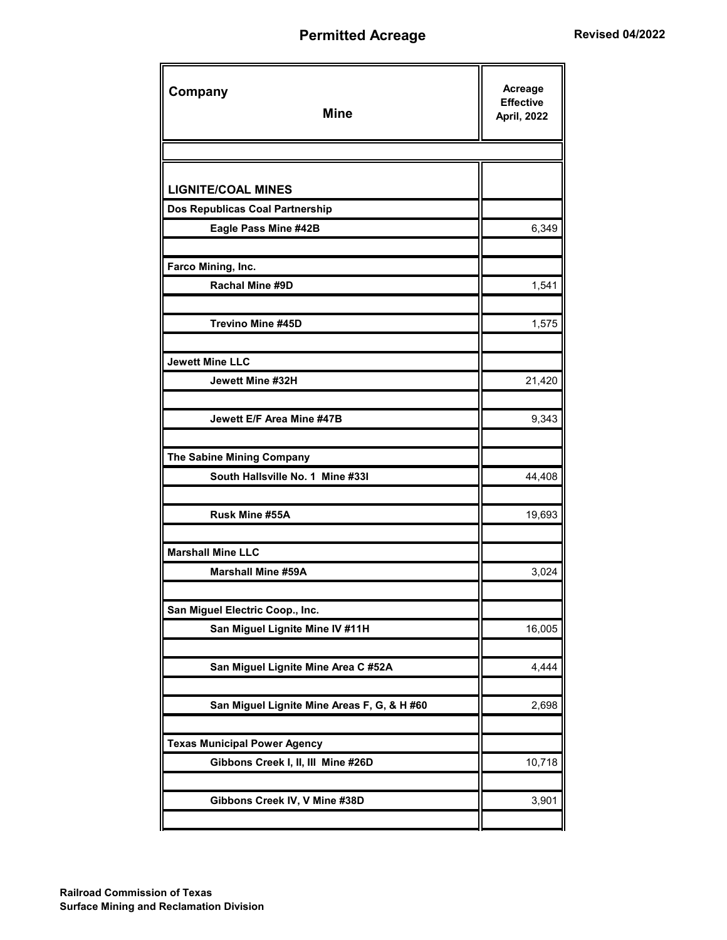## **Permitted Acreage <b>Revised 04/2022**

| Company<br><b>Mine</b>                                                    | Acreage<br><b>Effective</b><br><b>April, 2022</b> |
|---------------------------------------------------------------------------|---------------------------------------------------|
|                                                                           |                                                   |
| <b>LIGNITE/COAL MINES</b>                                                 |                                                   |
| Dos Republicas Coal Partnership                                           |                                                   |
| Eagle Pass Mine #42B                                                      | 6,349                                             |
|                                                                           |                                                   |
| Farco Mining, Inc.                                                        |                                                   |
| Rachal Mine #9D                                                           | 1,541                                             |
|                                                                           |                                                   |
| <b>Trevino Mine #45D</b>                                                  | 1,575                                             |
|                                                                           |                                                   |
| <b>Jewett Mine LLC</b><br>Jewett Mine #32H                                |                                                   |
|                                                                           | 21,420                                            |
| Jewett E/F Area Mine #47B                                                 | 9,343                                             |
|                                                                           |                                                   |
| The Sabine Mining Company                                                 |                                                   |
| South Hallsville No. 1 Mine #331                                          | 44,408                                            |
|                                                                           |                                                   |
| Rusk Mine #55A                                                            | 19,693                                            |
|                                                                           |                                                   |
| <b>Marshall Mine LLC</b>                                                  |                                                   |
| <b>Marshall Mine #59A</b>                                                 | 3,024                                             |
|                                                                           |                                                   |
| San Miguel Electric Coop., Inc.                                           |                                                   |
| San Miguel Lignite Mine IV #11H                                           | 16,005                                            |
|                                                                           |                                                   |
| San Miguel Lignite Mine Area C #52A                                       | 4,444                                             |
|                                                                           |                                                   |
| San Miguel Lignite Mine Areas F, G, & H #60                               | 2,698                                             |
|                                                                           |                                                   |
| <b>Texas Municipal Power Agency</b><br>Gibbons Creek I, II, III Mine #26D | 10,718                                            |
|                                                                           |                                                   |
| Gibbons Creek IV, V Mine #38D                                             | 3,901                                             |
|                                                                           |                                                   |
|                                                                           |                                                   |